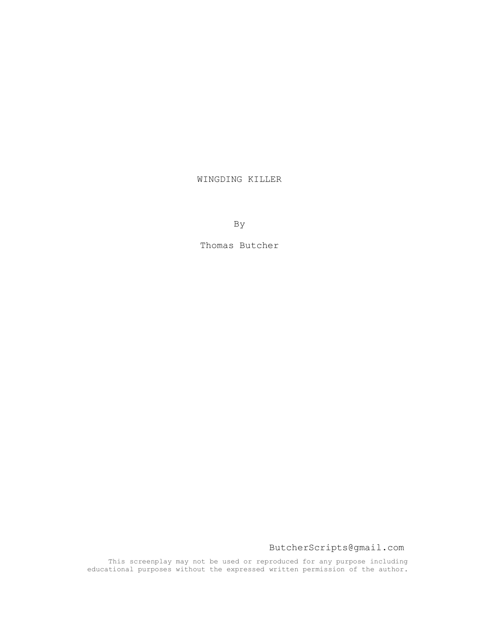# WINGDING KILLER

By

Thomas Butcher

ButcherScripts@gmail.com

This screenplay may not be used or reproduced for any purpose including educational purposes without the expressed written permission of the author.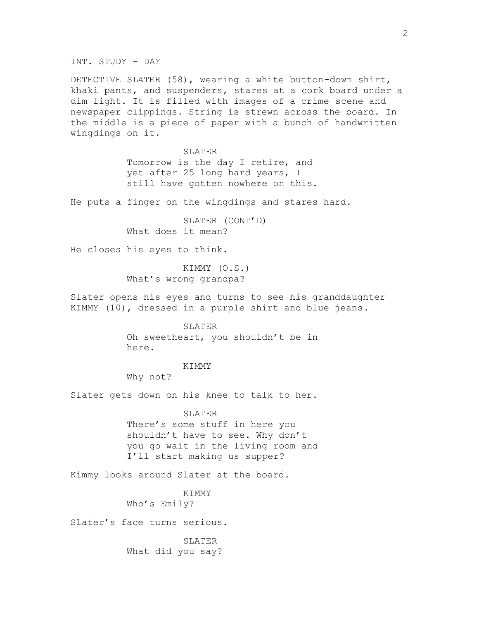INT. STUDY – DAY

DETECTIVE SLATER (58), wearing a white button-down shirt, khaki pants, and suspenders, stares at a cork board under a dim light. It is filled with images of a crime scene and newspaper clippings. String is strewn across the board. In the middle is a piece of paper with a bunch of handwritten wingdings on it.

> **SLATER** Tomorrow is the day I retire, and yet after 25 long hard years, I still have gotten nowhere on this.

He puts a finger on the wingdings and stares hard.

SLATER (CONT'D) What does it mean?

He closes his eyes to think.

KIMMY (O.S.) What's wrong grandpa?

Slater opens his eyes and turns to see his granddaughter KIMMY (10), dressed in a purple shirt and blue jeans.

### SLATER

Oh sweetheart, you shouldn't be in here.

## KIMMY

Why not?

Slater gets down on his knee to talk to her.

#### SLATER

There's some stuff in here you shouldn't have to see. Why don't you go wait in the living room and I'll start making us supper?

Kimmy looks around Slater at the board.

KIMMY Who's Emily?

Slater's face turns serious.

SLATER What did you say?